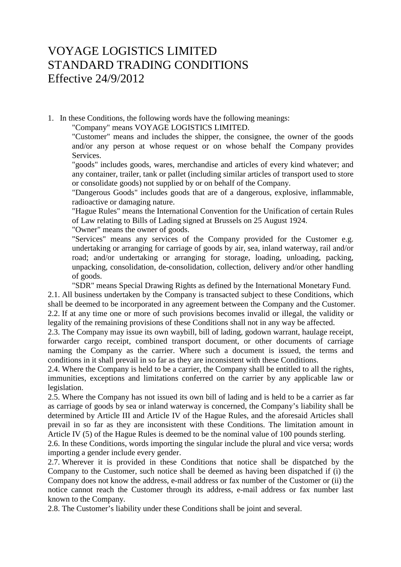## VOYAGE LOGISTICS LIMITED STANDARD TRADING CONDITIONS Effective 24/9/2012

1. In these Conditions, the following words have the following meanings:

"Company" means VOYAGE LOGISTICS LIMITED.

"Customer" means and includes the shipper, the consignee, the owner of the goods and/or any person at whose request or on whose behalf the Company provides Services.

"goods" includes goods, wares, merchandise and articles of every kind whatever; and any container, trailer, tank or pallet (including similar articles of transport used to store or consolidate goods) not supplied by or on behalf of the Company.

"Dangerous Goods" includes goods that are of a dangerous, explosive, inflammable, radioactive or damaging nature.

"Hague Rules" means the International Convention for the Unification of certain Rules of Law relating to Bills of Lading signed at Brussels on 25 August 1924.

"Owner" means the owner of goods.

"Services" means any services of the Company provided for the Customer e.g. undertaking or arranging for carriage of goods by air, sea, inland waterway, rail and/or road; and/or undertaking or arranging for storage, loading, unloading, packing, unpacking, consolidation, de-consolidation, collection, delivery and/or other handling of goods.

"SDR" means Special Drawing Rights as defined by the International Monetary Fund.

2.1. All business undertaken by the Company is transacted subject to these Conditions, which shall be deemed to be incorporated in any agreement between the Company and the Customer. 2.2. If at any time one or more of such provisions becomes invalid or illegal, the validity or legality of the remaining provisions of these Conditions shall not in any way be affected.

2.3. The Company may issue its own waybill, bill of lading, godown warrant, haulage receipt, forwarder cargo receipt, combined transport document, or other documents of carriage naming the Company as the carrier. Where such a document is issued, the terms and conditions in it shall prevail in so far as they are inconsistent with these Conditions.

2.4. Where the Company is held to be a carrier, the Company shall be entitled to all the rights, immunities, exceptions and limitations conferred on the carrier by any applicable law or legislation.

2.5. Where the Company has not issued its own bill of lading and is held to be a carrier as far as carriage of goods by sea or inland waterway is concerned, the Company's liability shall be determined by Article III and Article IV of the Hague Rules, and the aforesaid Articles shall prevail in so far as they are inconsistent with these Conditions. The limitation amount in Article IV (5) of the Hague Rules is deemed to be the nominal value of 100 pounds sterling.

2.6. In these Conditions, words importing the singular include the plural and vice versa; words importing a gender include every gender.

2.7. Wherever it is provided in these Conditions that notice shall be dispatched by the Company to the Customer, such notice shall be deemed as having been dispatched if (i) the Company does not know the address, e-mail address or fax number of the Customer or (ii) the notice cannot reach the Customer through its address, e-mail address or fax number last known to the Company.

2.8. The Customer's liability under these Conditions shall be joint and several.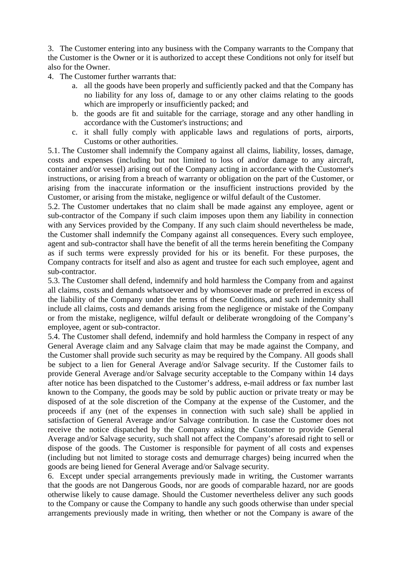3. The Customer entering into any business with the Company warrants to the Company that the Customer is the Owner or it is authorized to accept these Conditions not only for itself but also for the Owner.

- 4. The Customer further warrants that:
	- a. all the goods have been properly and sufficiently packed and that the Company has no liability for any loss of, damage to or any other claims relating to the goods which are improperly or insufficiently packed; and
	- b. the goods are fit and suitable for the carriage, storage and any other handling in accordance with the Customer's instructions; and
	- c. it shall fully comply with applicable laws and regulations of ports, airports, Customs or other authorities.

5.1. The Customer shall indemnify the Company against all claims, liability, losses, damage, costs and expenses (including but not limited to loss of and/or damage to any aircraft, container and/or vessel) arising out of the Company acting in accordance with the Customer's instructions, or arising from a breach of warranty or obligation on the part of the Customer, or arising from the inaccurate information or the insufficient instructions provided by the Customer, or arising from the mistake, negligence or wilful default of the Customer.

5.2. The Customer undertakes that no claim shall be made against any employee, agent or sub-contractor of the Company if such claim imposes upon them any liability in connection with any Services provided by the Company. If any such claim should nevertheless be made, the Customer shall indemnify the Company against all consequences. Every such employee, agent and sub-contractor shall have the benefit of all the terms herein benefiting the Company as if such terms were expressly provided for his or its benefit. For these purposes, the Company contracts for itself and also as agent and trustee for each such employee, agent and sub-contractor.

5.3. The Customer shall defend, indemnify and hold harmless the Company from and against all claims, costs and demands whatsoever and by whomsoever made or preferred in excess of the liability of the Company under the terms of these Conditions, and such indemnity shall include all claims, costs and demands arising from the negligence or mistake of the Company or from the mistake, negligence, wilful default or deliberate wrongdoing of the Company's employee, agent or sub-contractor.

5.4. The Customer shall defend, indemnify and hold harmless the Company in respect of any General Average claim and any Salvage claim that may be made against the Company, and the Customer shall provide such security as may be required by the Company. All goods shall be subject to a lien for General Average and/or Salvage security. If the Customer fails to provide General Average and/or Salvage security acceptable to the Company within 14 days after notice has been dispatched to the Customer's address, e-mail address or fax number last known to the Company, the goods may be sold by public auction or private treaty or may be disposed of at the sole discretion of the Company at the expense of the Customer, and the proceeds if any (net of the expenses in connection with such sale) shall be applied in satisfaction of General Average and/or Salvage contribution. In case the Customer does not receive the notice dispatched by the Company asking the Customer to provide General Average and/or Salvage security, such shall not affect the Company's aforesaid right to sell or dispose of the goods. The Customer is responsible for payment of all costs and expenses (including but not limited to storage costs and demurrage charges) being incurred when the goods are being liened for General Average and/or Salvage security.

6. Except under special arrangements previously made in writing, the Customer warrants that the goods are not Dangerous Goods, nor are goods of comparable hazard, nor are goods otherwise likely to cause damage. Should the Customer nevertheless deliver any such goods to the Company or cause the Company to handle any such goods otherwise than under special arrangements previously made in writing, then whether or not the Company is aware of the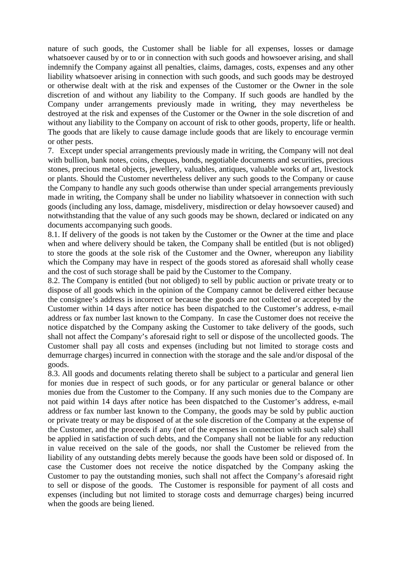nature of such goods, the Customer shall be liable for all expenses, losses or damage whatsoever caused by or to or in connection with such goods and howsoever arising, and shall indemnify the Company against all penalties, claims, damages, costs, expenses and any other liability whatsoever arising in connection with such goods, and such goods may be destroyed or otherwise dealt with at the risk and expenses of the Customer or the Owner in the sole discretion of and without any liability to the Company. If such goods are handled by the Company under arrangements previously made in writing, they may nevertheless be destroyed at the risk and expenses of the Customer or the Owner in the sole discretion of and without any liability to the Company on account of risk to other goods, property, life or health. The goods that are likely to cause damage include goods that are likely to encourage vermin or other pests.

7. Except under special arrangements previously made in writing, the Company will not deal with bullion, bank notes, coins, cheques, bonds, negotiable documents and securities, precious stones, precious metal objects, jewellery, valuables, antiques, valuable works of art, livestock or plants. Should the Customer nevertheless deliver any such goods to the Company or cause the Company to handle any such goods otherwise than under special arrangements previously made in writing, the Company shall be under no liability whatsoever in connection with such goods (including any loss, damage, misdelivery, misdirection or delay howsoever caused) and notwithstanding that the value of any such goods may be shown, declared or indicated on any documents accompanying such goods.

8.1. If delivery of the goods is not taken by the Customer or the Owner at the time and place when and where delivery should be taken, the Company shall be entitled (but is not obliged) to store the goods at the sole risk of the Customer and the Owner, whereupon any liability which the Company may have in respect of the goods stored as aforesaid shall wholly cease and the cost of such storage shall be paid by the Customer to the Company.

8.2. The Company is entitled (but not obliged) to sell by public auction or private treaty or to dispose of all goods which in the opinion of the Company cannot be delivered either because the consignee's address is incorrect or because the goods are not collected or accepted by the Customer within 14 days after notice has been dispatched to the Customer's address, e-mail address or fax number last known to the Company. In case the Customer does not receive the notice dispatched by the Company asking the Customer to take delivery of the goods, such shall not affect the Company's aforesaid right to sell or dispose of the uncollected goods. The Customer shall pay all costs and expenses (including but not limited to storage costs and demurrage charges) incurred in connection with the storage and the sale and/or disposal of the goods.

8.3. All goods and documents relating thereto shall be subject to a particular and general lien for monies due in respect of such goods, or for any particular or general balance or other monies due from the Customer to the Company. If any such monies due to the Company are not paid within 14 days after notice has been dispatched to the Customer's address, e-mail address or fax number last known to the Company, the goods may be sold by public auction or private treaty or may be disposed of at the sole discretion of the Company at the expense of the Customer, and the proceeds if any (net of the expenses in connection with such sale) shall be applied in satisfaction of such debts, and the Company shall not be liable for any reduction in value received on the sale of the goods, nor shall the Customer be relieved from the liability of any outstanding debts merely because the goods have been sold or disposed of. In case the Customer does not receive the notice dispatched by the Company asking the Customer to pay the outstanding monies, such shall not affect the Company's aforesaid right to sell or dispose of the goods. The Customer is responsible for payment of all costs and expenses (including but not limited to storage costs and demurrage charges) being incurred when the goods are being liened.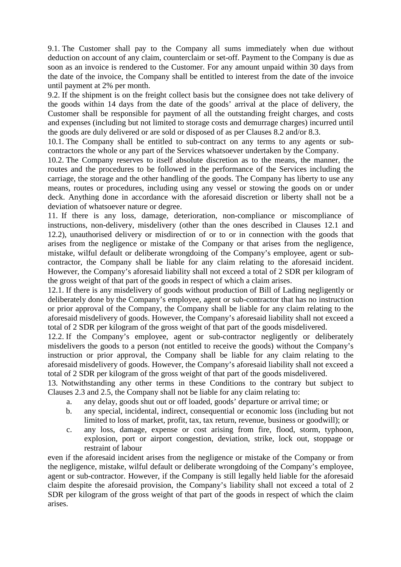9.1. The Customer shall pay to the Company all sums immediately when due without deduction on account of any claim, counterclaim or set-off. Payment to the Company is due as soon as an invoice is rendered to the Customer. For any amount unpaid within 30 days from the date of the invoice, the Company shall be entitled to interest from the date of the invoice until payment at 2% per month.

9.2. If the shipment is on the freight collect basis but the consignee does not take delivery of the goods within 14 days from the date of the goods' arrival at the place of delivery, the Customer shall be responsible for payment of all the outstanding freight charges, and costs and expenses (including but not limited to storage costs and demurrage charges) incurred until the goods are duly delivered or are sold or disposed of as per Clauses 8.2 and/or 8.3.

10.1. The Company shall be entitled to sub-contract on any terms to any agents or subcontractors the whole or any part of the Services whatsoever undertaken by the Company.

10.2. The Company reserves to itself absolute discretion as to the means, the manner, the routes and the procedures to be followed in the performance of the Services including the carriage, the storage and the other handling of the goods. The Company has liberty to use any means, routes or procedures, including using any vessel or stowing the goods on or under deck. Anything done in accordance with the aforesaid discretion or liberty shall not be a deviation of whatsoever nature or degree.

11. If there is any loss, damage, deterioration, non-compliance or miscompliance of instructions, non-delivery, misdelivery (other than the ones described in Clauses 12.1 and 12.2), unauthorised delivery or misdirection of or to or in connection with the goods that arises from the negligence or mistake of the Company or that arises from the negligence, mistake, wilful default or deliberate wrongdoing of the Company's employee, agent or subcontractor, the Company shall be liable for any claim relating to the aforesaid incident. However, the Company's aforesaid liability shall not exceed a total of 2 SDR per kilogram of the gross weight of that part of the goods in respect of which a claim arises.

12.1. If there is any misdelivery of goods without production of Bill of Lading negligently or deliberately done by the Company's employee, agent or sub-contractor that has no instruction or prior approval of the Company, the Company shall be liable for any claim relating to the aforesaid misdelivery of goods. However, the Company's aforesaid liability shall not exceed a total of 2 SDR per kilogram of the gross weight of that part of the goods misdelivered.

12.2. If the Company's employee, agent or sub-contractor negligently or deliberately misdelivers the goods to a person (not entitled to receive the goods) without the Company's instruction or prior approval, the Company shall be liable for any claim relating to the aforesaid misdelivery of goods. However, the Company's aforesaid liability shall not exceed a total of 2 SDR per kilogram of the gross weight of that part of the goods misdelivered.

13. Notwithstanding any other terms in these Conditions to the contrary but subject to Clauses 2.3 and 2.5, the Company shall not be liable for any claim relating to:

- a. any delay, goods shut out or off loaded, goods' departure or arrival time; or
- b. any special, incidental, indirect, consequential or economic loss (including but not limited to loss of market, profit, tax, tax return, revenue, business or goodwill); or
- c. any loss, damage, expense or cost arising from fire, flood, storm, typhoon, explosion, port or airport congestion, deviation, strike, lock out, stoppage or restraint of labour

even if the aforesaid incident arises from the negligence or mistake of the Company or from the negligence, mistake, wilful default or deliberate wrongdoing of the Company's employee, agent or sub-contractor. However, if the Company is still legally held liable for the aforesaid claim despite the aforesaid provision, the Company's liability shall not exceed a total of 2 SDR per kilogram of the gross weight of that part of the goods in respect of which the claim arises.